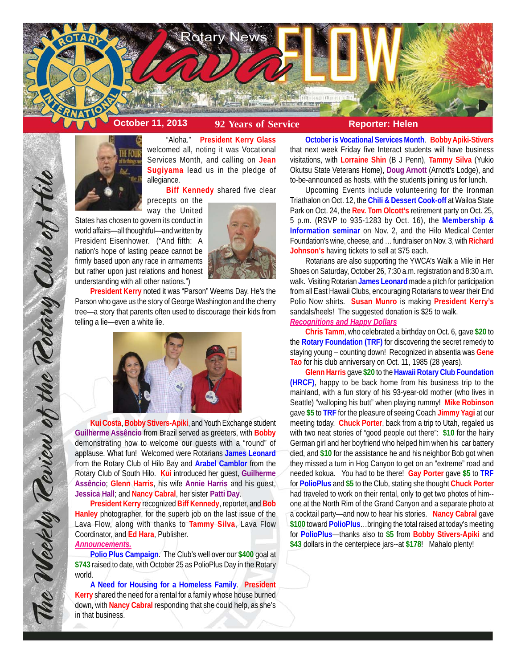



"Aloha." **President Kerry Glass** welcomed all, noting it was Vocational Services Month, and calling on **Jean Sugiyama** lead us in the pledge of allegiance.

**Biff Kennedy** shared five clear precepts on the

way the United States has chosen to govern its conduct in world affairs—all thoughtful—and written by President Eisenhower. ("And fifth: A nation's hope of lasting peace cannot be firmly based upon any race in armaments but rather upon just relations and honest understanding with all other nations.")



**President Kerry** noted it was "Parson" Weems Day. He's the Parson who gave us the story of George Washington and the cherry tree—a story that parents often used to discourage their kids from telling a lie—even a white lie.



**Kui Costa**, **Bobby Stivers-Apiki**, and Youth Exchange student **Guilherme Assêncio** from Brazil served as greeters, with **Bobby** demonstrating how to welcome our guests with a "round" of applause. What fun! Welcomed were Rotarians **James Leonard** from the Rotary Club of Hilo Bay and **Arabel Camblor** from the Rotary Club of South Hilo. **Kui** introduced her guest, **Guilherme Assêncio**; **Glenn Harris**, his wife **Annie Harris** and his guest, **Jessica Hall**; and **Nancy Cabral**, her sister **Patti Day**.

**President Kerry** recognized **Biff Kennedy**, reporter, and **Bob Hanley** photographer, for the superb job on the last issue of the Lava Flow, along with thanks to **Tammy Silva**, Lava Flow Coordinator, and **Ed Hara**, Publisher.

## *Announcements.*

The Weekly Review of the Rotary Club of Hilo

**Polio Plus Campaign**. The Club's well over our **\$400** goal at **\$743** raised to date, with October 25 as PolioPlus Day in the Rotary world.

**A Need for Housing for a Homeless Family**. **President Kerry** shared the need for a rental for a family whose house burned down, with **Nancy Cabral** responding that she could help, as she's in that business.

**October is Vocational Services Month**. **Bobby Apiki-Stivers** that next week Friday five Interact students will have business visitations, with **Lorraine Shin** (B J Penn), **Tammy Silva** (Yukio Okutsu State Veterans Home), **Doug Arnott** (Arnott's Lodge), and to-be-announced as hosts, with the students joining us for lunch.

Upcoming Events include volunteering for the Ironman Triathalon on Oct. 12, the **Chili & Dessert Cook-off** at Wailoa State Park on Oct. 24, the **Rev. Tom Olcott's** retirement party on Oct. 25, 5 p.m. (RSVP to 935-1283 by Oct. 16), the **Membership & Information seminar** on Nov. 2, and the Hilo Medical Center Foundation's wine, cheese, and … fundraiser on Nov. 3, with **Richard Johnson's** having tickets to sell at \$75 each.

Rotarians are also supporting the YWCA's Walk a Mile in Her Shoes on Saturday, October 26, 7:30 a.m. registration and 8:30 a.m. walk. Visiting Rotarian **James Leonard** made a pitch for participation from all East Hawaii Clubs, encouraging Rotarians to wear their End Polio Now shirts. **Susan Munro** is making **President Kerry's** sandals/heels! The suggested donation is \$25 to walk.

# *Recognitions and Happy Dollars*

**Chris Tamm**, who celebrated a birthday on Oct. 6, gave **\$20** to the **Rotary Foundation (TRF)** for discovering the secret remedy to staying young – counting down! Recognized in absentia was **Gene Tao** for his club anniversary on Oct. 11, 1985 (28 years).

**Glenn Harris** gave **\$20** to the **Hawaii Rotary Club Foundation (HRCF)**, happy to be back home from his business trip to the mainland, with a fun story of his 93-year-old mother (who lives in Seattle) "walloping his butt" when playing rummy! **Mike Robinson** gave **\$5** to **TRF** for the pleasure of seeing Coach **Jimmy Yagi** at our meeting today. **Chuck Porter**, back from a trip to Utah, regaled us with two neat stories of "good people out there": **\$10** for the hairy German girl and her boyfriend who helped him when his car battery died, and **\$10** for the assistance he and his neighbor Bob got when they missed a turn in Hog Canyon to get on an "extreme" road and needed kokua. You had to be there! **Gay Porter** gave **\$5** to **TRF** for **PolioPlus** and **\$5** to the Club, stating she thought **Chuck Porter** had traveled to work on their rental, only to get two photos of him- one at the North Rim of the Grand Canyon and a separate photo at a cocktail party—and now to hear his stories. **Nancy Cabral** gave **\$100** toward **PolioPlus**…bringing the total raised at today's meeting for **PolioPlus**—thanks also to **\$5** from **Bobby Stivers-Apiki** and **\$43** dollars in the centerpiece jars--at **\$178**! Mahalo plenty!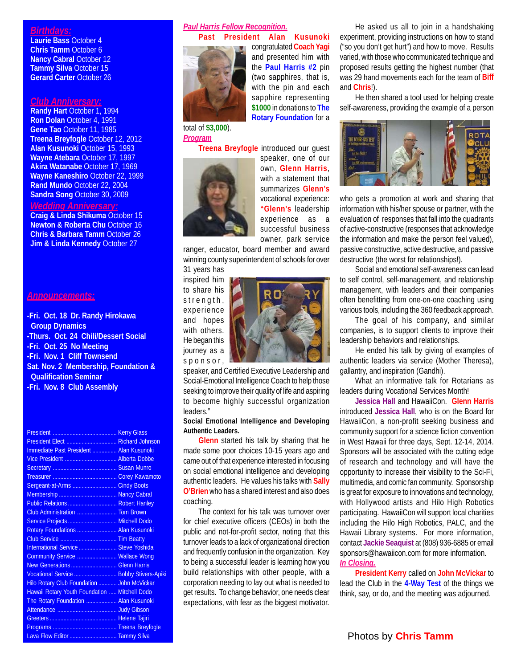# *Birthdays:*

**Laurie Bass** October 4 **Chris Tamm** October 6 **Nancy Cabral October 12 Tammy Silva** October 15 **Gerard Carter** October 26

### *Club Anniversary:*

**Randy Hart** October 1, 1994 **Ron Dolan** October 4, 1991 **Gene Tao** October 11, 1985 **Treena Breyfogle** October 12, 2012 **Alan Kusunoki** October 15, 1993 **Wayne Atebara** October 17, 1997 **Akira Watanabe** October 17, 1969 **Wayne Kaneshiro** October 22, 1999 **Rand Mundo** October 22, 2004 **Sandra Song** October 30, 2009

# *Wedding Anniversary:*

**Craig & Linda Shikuma** October 15 **Newton & Roberta Chu** October 16 **Chris & Barbara Tamm** October 26 **Jim & Linda Kennedy October 27** 

#### *Announcements:*

**-Fri. Oct. 18 Dr. Randy Hirokawa Group Dynamics -Thurs. Oct. 24 Chili/Dessert Social -Fri. Oct. 25 No Meeting -Fri. Nov. 1 Cliff Townsend Sat. Nov. 2 Membership, Foundation & Qualification Seminar -Fri. Nov. 8 Club Assembly**

| President Elect  Richard Johnson              |  |
|-----------------------------------------------|--|
| Immediate Past President  Alan Kusunoki       |  |
| Vice President  Alberta Dobbe                 |  |
|                                               |  |
|                                               |  |
| Sergeant-at-Arms  Cindy Boots                 |  |
|                                               |  |
| Public Relations  Robert Hanley               |  |
| Club Administration  Tom Brown                |  |
| Service Projects  Mitchell Dodo               |  |
| Rotary Foundations  Alan Kusunoki             |  |
|                                               |  |
| International Service  Steve Yoshida          |  |
| Community Service  Wallace Wong               |  |
| New Generations  Glenn Harris                 |  |
| Vocational Service  Bobby Stivers-Apiki       |  |
| Hilo Rotary Club Foundation  John McVickar    |  |
| Hawaii Rotary Youth Foundation  Mitchell Dodo |  |
| The Rotary Foundation  Alan Kusunoki          |  |
|                                               |  |
|                                               |  |
|                                               |  |
| Lava Flow Editor  Tammy Silva                 |  |

### *Paul Harris Fellow Recognition.* **Past President Alan Kusunoki**



congratulated **Coach Yagi** and presented him with the **Paul Harris #2** pin (two sapphires, that is, with the pin and each sapphire representing **\$1000** in donations to **The Rotary Foundation** for a

#### total of **\$3,000**). *Program*



**Treena Breyfogle** introduced our guest speaker, one of our own, **Glenn Harris**, with a statement that summarizes **Glenn's** vocational experience: **"Glenn's** leadership experience as a successful business owner, park service

ranger, educator, board member and award winning county superintendent of schools for over 31 years has

inspired him to share his strength, experience and hopes with others. He began this journey as a sponsor,



speaker, and Certified Executive Leadership and Social-Emotional Intelligence Coach to help those seeking to improve their quality of life and aspiring to become highly successful organization leaders."

#### **Social Emotional Intelligence and Developing Authentic Leaders.**

**Glenn** started his talk by sharing that he made some poor choices 10-15 years ago and came out of that experience interested in focusing on social emotional intelligence and developing authentic leaders. He values his talks with **Sally O'Brien** who has a shared interest and also does coaching.

The context for his talk was turnover over for chief executive officers (CEOs) in both the public and not-for-profit sector, noting that this turnover leads to a lack of organizational direction and frequently confusion in the organization. Key to being a successful leader is learning how you build relationships with other people, with a corporation needing to lay out what is needed to get results. To change behavior, one needs clear expectations, with fear as the biggest motivator.

He asked us all to join in a handshaking experiment, providing instructions on how to stand ("so you don't get hurt") and how to move. Results varied, with those who communicated technique and proposed results getting the highest number (that was 29 hand movements each for the team of **Biff** and **Chris**!).

He then shared a tool used for helping create self-awareness, providing the example of a person



who gets a promotion at work and sharing that information with his/her spouse or partner, with the evaluation of responses that fall into the quadrants of active-constructive (responses that acknowledge the information and make the person feel valued), passive constructive, active destructive, and passive destructive (the worst for relationships!).

Social and emotional self-awareness can lead to self control, self-management, and relationship management, with leaders and their companies often benefitting from one-on-one coaching using various tools, including the 360 feedback approach.

The goal of his company, and similar companies, is to support clients to improve their leadership behaviors and relationships.

He ended his talk by giving of examples of authentic leaders via service (Mother Theresa), gallantry, and inspiration (Gandhi).

What an informative talk for Rotarians as leaders during Vocational Services Month!

**Jessica Hall** and HawaiiCon. **Glenn Harris** introduced **Jessica Hall**, who is on the Board for HawaiiCon, a non-profit seeking business and community support for a science fiction convention in West Hawaii for three days, Sept. 12-14, 2014. Sponsors will be associated with the cutting edge of research and technology and will have the opportunity to increase their visibility to the Sci-Fi, multimedia, and comic fan community. Sponsorship is great for exposure to innovations and technology, with Hollywood artists and Hilo High Robotics participating. HawaiiCon will support local charities including the Hilo High Robotics, PALC, and the Hawaii Library systems. For more information, contact **Jackie Seaquist** at (808) 936-6885 or email sponsors@hawaiicon.com for more information. *In Closing.*

**President Kerry** called on **John McVickar** to lead the Club in the **4-Way Test** of the things we think, say, or do, and the meeting was adjourned.